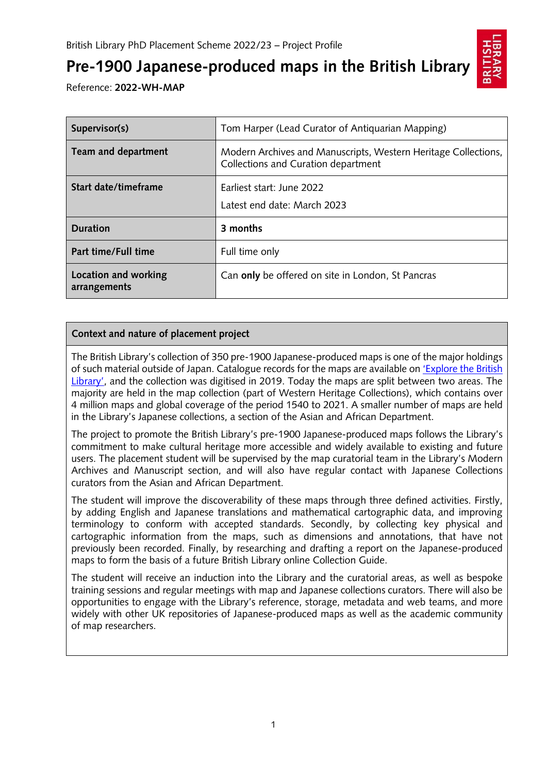

# **Pre-1900 Japanese-produced maps in the British Library**

Reference: **2022-WH-MAP**

| Supervisor(s)                        | Tom Harper (Lead Curator of Antiquarian Mapping)                                                      |
|--------------------------------------|-------------------------------------------------------------------------------------------------------|
| Team and department                  | Modern Archives and Manuscripts, Western Heritage Collections,<br>Collections and Curation department |
| Start date/timeframe                 | Earliest start: June 2022<br>Latest end date: March 2023                                              |
| <b>Duration</b>                      | 3 months                                                                                              |
| Part time/Full time                  | Full time only                                                                                        |
| Location and working<br>arrangements | Can only be offered on site in London, St Pancras                                                     |

## **Context and nature of placement project**

The British Library's collection of 350 pre-1900 Japanese-produced maps is one of the major holdings of such material outside of Japan. Catalogue records for the maps are available on ['Explore the British](http://explore.bl.uk/primo_library/libweb/action/search.do?vid=BLVU1)  [Library',](http://explore.bl.uk/primo_library/libweb/action/search.do?vid=BLVU1) and the collection was digitised in 2019. Today the maps are split between two areas. The majority are held in the map collection (part of Western Heritage Collections), which contains over 4 million maps and global coverage of the period 1540 to 2021. A smaller number of maps are held in the Library's Japanese collections, a section of the Asian and African Department.

The project to promote the British Library's pre-1900 Japanese-produced maps follows the Library's commitment to make cultural heritage more accessible and widely available to existing and future users. The placement student will be supervised by the map curatorial team in the Library's Modern Archives and Manuscript section, and will also have regular contact with Japanese Collections curators from the Asian and African Department.

The student will improve the discoverability of these maps through three defined activities. Firstly, by adding English and Japanese translations and mathematical cartographic data, and improving terminology to conform with accepted standards. Secondly, by collecting key physical and cartographic information from the maps, such as dimensions and annotations, that have not previously been recorded. Finally, by researching and drafting a report on the Japanese-produced maps to form the basis of a future British Library online Collection Guide.

The student will receive an induction into the Library and the curatorial areas, as well as bespoke training sessions and regular meetings with map and Japanese collections curators. There will also be opportunities to engage with the Library's reference, storage, metadata and web teams, and more widely with other UK repositories of Japanese-produced maps as well as the academic community of map researchers.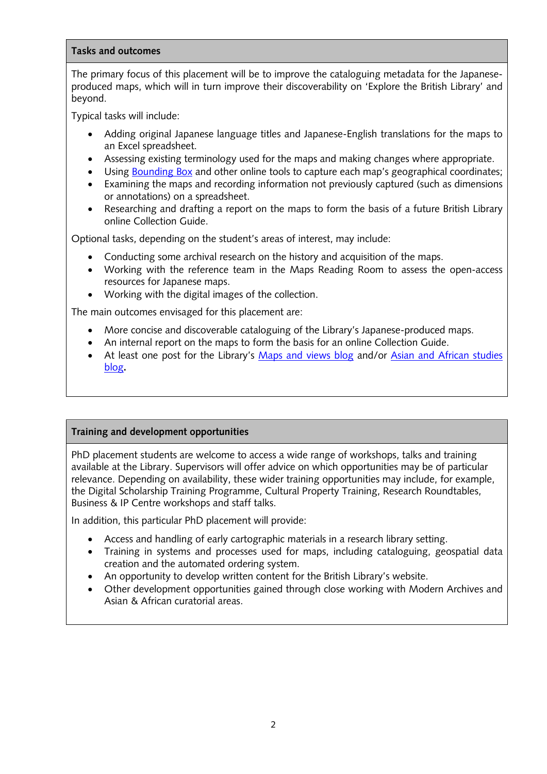#### **Tasks and outcomes**

The primary focus of this placement will be to improve the cataloguing metadata for the Japaneseproduced maps, which will in turn improve their discoverability on 'Explore the British Library' and beyond.

Typical tasks will include:

- Adding original Japanese language titles and Japanese-English translations for the maps to an Excel spreadsheet.
- Assessing existing terminology used for the maps and making changes where appropriate.
- Using [Bounding Box](https://boundingbox.klokantech.com/) and other online tools to capture each map's geographical coordinates;
- Examining the maps and recording information not previously captured (such as dimensions or annotations) on a spreadsheet.
- Researching and drafting a report on the maps to form the basis of a future British Library online Collection Guide.

Optional tasks, depending on the student's areas of interest, may include:

- Conducting some archival research on the history and acquisition of the maps.
- Working with the reference team in the Maps Reading Room to assess the open-access resources for Japanese maps.
- Working with the digital images of the collection.

The main outcomes envisaged for this placement are:

- More concise and discoverable cataloguing of the Library's Japanese-produced maps.
- An internal report on the maps to form the basis for an online Collection Guide.
- At least one post for the Library's [Maps and views](https://blogs.bl.uk/magnificentmaps/?_ga=2.185639277.538403607.1639382726-1925062719.1582022382&_gac=1.192521816.1638813375.CjwKCAiAhreNBhAYEiwAFGGKPCLtmqawmT7zn12ruZjyBdFYaCPIkTZhzX7Nzp5_vIjx44U_VRY5cRoCcNUQAvD_BwE) blog and/or [Asian and African studies](https://blogs.bl.uk/asian-and-african/?_ga=2.56593903.538403607.1639382726-1925062719.1582022382&_gac=1.186705626.1638813375.CjwKCAiAhreNBhAYEiwAFGGKPCLtmqawmT7zn12ruZjyBdFYaCPIkTZhzX7Nzp5_vIjx44U_VRY5cRoCcNUQAvD_BwE) [blog](https://blogs.bl.uk/asian-and-african/?_ga=2.56593903.538403607.1639382726-1925062719.1582022382&_gac=1.186705626.1638813375.CjwKCAiAhreNBhAYEiwAFGGKPCLtmqawmT7zn12ruZjyBdFYaCPIkTZhzX7Nzp5_vIjx44U_VRY5cRoCcNUQAvD_BwE)**.**

### **Training and development opportunities**

PhD placement students are welcome to access a wide range of workshops, talks and training available at the Library. Supervisors will offer advice on which opportunities may be of particular relevance. Depending on availability, these wider training opportunities may include, for example, the Digital Scholarship Training Programme, Cultural Property Training, Research Roundtables, Business & IP Centre workshops and staff talks.

In addition, this particular PhD placement will provide:

- Access and handling of early cartographic materials in a research library setting.
- Training in systems and processes used for maps, including cataloguing, geospatial data creation and the automated ordering system.
- An opportunity to develop written content for the British Library's website.
- Other development opportunities gained through close working with Modern Archives and Asian & African curatorial areas.